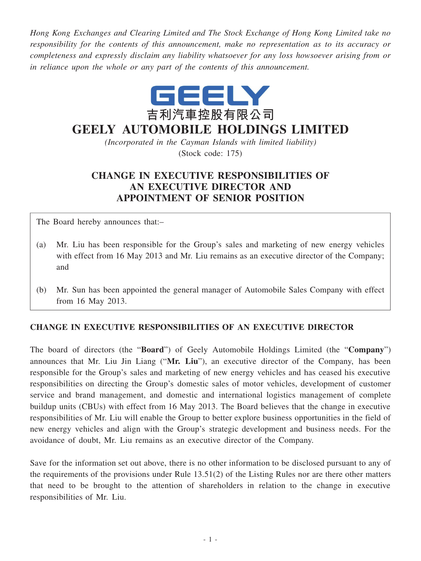*Hong Kong Exchanges and Clearing Limited and The Stock Exchange of Hong Kong Limited take no responsibility for the contents of this announcement, make no representation as to its accuracy or completeness and expressly disclaim any liability whatsoever for any loss howsoever arising from or in reliance upon the whole or any part of the contents of this announcement.*



## **GEELY AUTOMOBILE HOLDINGS LIMITED**

*(Incorporated in the Cayman Islands with limited liability)* (Stock code: 175)

## **CHANGE IN EXECUTIVE RESPONSIBILITIES OF AN EXECUTIVE DIRECTOR AND APPOINTMENT OF SENIOR POSITION**

The Board hereby announces that:–

- (a) Mr. Liu has been responsible for the Group's sales and marketing of new energy vehicles with effect from 16 May 2013 and Mr. Liu remains as an executive director of the Company; and
- (b) Mr. Sun has been appointed the general manager of Automobile Sales Company with effect from 16 May 2013.

## **CHANGE IN EXECUTIVE RESPONSIBILITIES OF AN EXECUTIVE DIRECTOR**

The board of directors (the "**Board**") of Geely Automobile Holdings Limited (the "**Company**") announces that Mr. Liu Jin Liang ("**Mr. Liu**"), an executive director of the Company, has been responsible for the Group's sales and marketing of new energy vehicles and has ceased his executive responsibilities on directing the Group's domestic sales of motor vehicles, development of customer service and brand management, and domestic and international logistics management of complete buildup units (CBUs) with effect from 16 May 2013. The Board believes that the change in executive responsibilities of Mr. Liu will enable the Group to better explore business opportunities in the field of new energy vehicles and align with the Group's strategic development and business needs. For the avoidance of doubt, Mr. Liu remains as an executive director of the Company.

Save for the information set out above, there is no other information to be disclosed pursuant to any of the requirements of the provisions under Rule 13.51(2) of the Listing Rules nor are there other matters that need to be brought to the attention of shareholders in relation to the change in executive responsibilities of Mr. Liu.